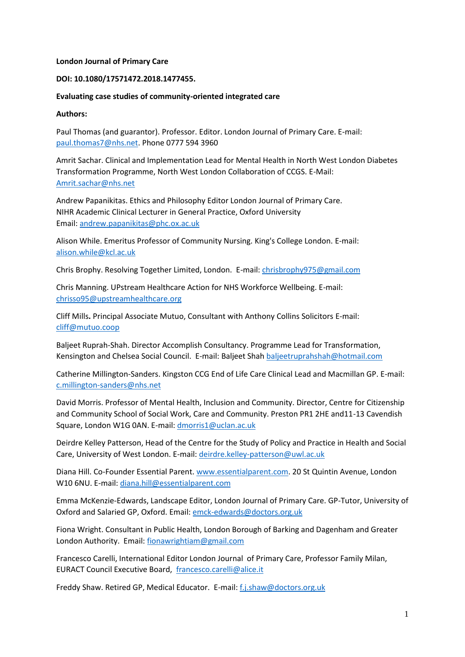#### **London Journal of Primary Care**

#### **DOI: 10.1080/17571472.2018.1477455.**

#### **Evaluating case studies of community-oriented integrated care**

#### **Authors:**

Paul Thomas (and guarantor). Professor. Editor. London Journal of Primary Care. E-mail: [paul.thomas7@nhs.net.](mailto:paul.thomas7@nhs.net) Phone 0777 594 3960

Amrit Sachar. Clinical and Implementation Lead for Mental Health in North West London Diabetes Transformation Programme, North West London Collaboration of CCGS. E-Mail: [Amrit.sachar@nhs.net](mailto:Amrit.sachar@nhs.net) 

Andrew Papanikitas. Ethics and Philosophy Editor London Journal of Primary Care. NIHR Academic Clinical Lecturer in General Practice, Oxford University Email: [andrew.papanikitas@phc.ox.ac.uk](mailto:andrew.papanikitas@phc.ox.ac.uk)

Alison While. Emeritus Professor of Community Nursing. King's College London. E-mail: [alison.while@kcl.ac.uk](mailto:alison.while@kcl.ac.uk)

Chris Brophy. Resolving Together Limited, London. E-mail[: chrisbrophy975@gmail.com](mailto:chrisbrophy975@gmail.com)

Chris Manning. UPstream Healthcare Action for NHS Workforce Wellbeing. E-mail: [chrisso95@upstreamhealthcare.org](mailto:chrisso95@upstreamhealthcare.org)

Cliff Mills**.** Principal Associate Mutuo, Consultant with Anthony Collins Solicitors E-mail: [cliff@mutuo.coop](mailto:cliff@mutuo.coop)

Baljeet Ruprah-Shah. Director Accomplish Consultancy. Programme Lead for Transformation, Kensington and Chelsea Social Council. E-mail: Baljeet Shah [baljeetruprahshah@hotmail.com](mailto:baljeetruprahshah@hotmail.com)

Catherine Millington-Sanders. Kingston CCG End of Life Care Clinical Lead and Macmillan GP. E-mail: [c.millington-sanders@nhs.net](mailto:c.millington-sanders@nhs.net)

David Morris. Professor of Mental Health, Inclusion and Community. Director, Centre for Citizenship and Community School of Social Work, Care and Community. Preston PR1 2HE and11-13 Cavendish Square, London W1G 0AN. E-mail: [dmorris1@uclan.ac.uk](mailto:dmorris1@uclan.ac.uk)

Deirdre Kelley Patterson, Head of the Centre for the Study of Policy and Practice in Health and Social Care, University of West London. E-mail: [deirdre.kelley-patterson@uwl.ac.uk](mailto:deirdre.kelley-patterson@uwl.ac.uk)

Diana Hill. Co-Founder Essential Parent[. www.essentialparent.com.](http://www.essentialparent.com/) 20 St Quintin Avenue, London W10 6NU. E-mail[: diana.hill@essentialparent.com](mailto:diana.hill@essentialparent.com)

Emma McKenzie-Edwards, Landscape Editor, London Journal of Primary Care. GP-Tutor, University of Oxford and Salaried GP, Oxford. Email[: emck-edwards@doctors.org.uk](mailto:emck-edwards@doctors.org.uk)

Fiona Wright. Consultant in Public Health, London Borough of Barking and Dagenham and Greater London Authority. Email: [fionawrightiam@gmail.com](mailto:fionawrightiam@gmail.com)

Francesco Carelli, International Editor London Journal of Primary Care, Professor Family Milan, EURACT Council Executive Board, [francesco.carelli@alice.it](mailto:francesco.carelli@alice.it)

Freddy Shaw. Retired GP, Medical Educator. E-mail: [f.j.shaw@doctors.org.uk](mailto:f.j.shaw@doctors.org.uk)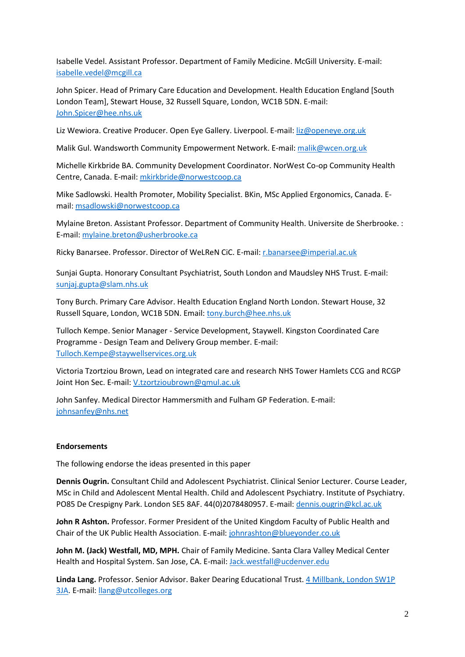Isabelle Vedel. Assistant Professor. Department of Family Medicine. McGill University. E-mail: [isabelle.vedel@mcgill.ca](mailto:isabelle.vedel@mcgill.ca)

John Spicer. Head of Primary Care Education and Development. Health Education England [South London Team], Stewart House, 32 Russell Square, London, WC1B 5DN. E-mail: [John.Spicer@hee.nhs.uk](mailto:John.Spicer@hee.nhs.uk)

Liz Wewiora. Creative Producer. Open Eye Gallery. Liverpool. E-mail: [liz@openeye.org.uk](mailto:liz@openeye.org.uk)

Malik Gul. Wandsworth Community Empowerment Network. E-mail: [malik@wcen.org.uk](mailto:malik@wcen.org.uk)

Michelle Kirkbride BA. Community Development Coordinator. NorWest Co-op Community Health Centre, Canada. E-mail: [mkirkbride@norwestcoop.ca](mailto:mkirkbride@norwestcoop.ca)

Mike Sadlowski. Health Promoter, Mobility Specialist. BKin, MSc Applied Ergonomics, Canada. Email[: msadlowski@norwestcoop.ca](mailto:msadlowski@norwestcoop.ca)

Mylaine Breton. Assistant Professor. Department of Community Health. Universite de Sherbrooke. : E-mail: [mylaine.breton@usherbrooke.ca](mailto:mylaine.breton@usherbrooke.ca)

Ricky Banarsee. Professor. Director of WeLReN CiC. E-mail: [r.banarsee@imperial.ac.uk](mailto:r.banarsee@imperial.ac.uk)

Sunjai Gupta. Honorary Consultant Psychiatrist, South London and Maudsley NHS Trust. E-mail: [sunjaj.gupta@slam.nhs.uk](mailto:sunjaj.gupta@slam.nhs.uk)

Tony Burch. Primary Care Advisor. Health Education England North London. Stewart House, 32 Russell Square, London, WC1B 5DN. Email: [tony.burch@hee.nhs.uk](mailto:tony.burch@hee.nhs.uk)

Tulloch Kempe. Senior Manager - Service Development, Staywell. Kingston Coordinated Care Programme - Design Team and Delivery Group member. E-mail: [Tulloch.Kempe@staywellservices.org.uk](mailto:Tulloch.Kempe@staywellservices.org.uk)

Victoria Tzortziou Brown, Lead on integrated care and research NHS Tower Hamlets CCG and RCGP Joint Hon Sec. E-mail: [V.tzortzioubrown@qmul.ac.uk](mailto:V.tzortzioubrown@qmul.ac.uk)

John Sanfey. Medical Director Hammersmith and Fulham GP Federation. E-mail: [johnsanfey@nhs.net](mailto:johnsanfey@nhs.net)

## **Endorsements**

The following endorse the ideas presented in this paper

**Dennis Ougrin.** Consultant Child and Adolescent Psychiatrist. Clinical Senior Lecturer. Course Leader, MSc in Child and Adolescent Mental Health. Child and Adolescent Psychiatry. Institute of Psychiatry. PO85 De Crespigny Park. London SE5 8AF. 44(0)2078480957. E-mail: [dennis.ougrin@kcl.ac.uk](mailto:dennis.ougrin@kcl.ac.uk)

**John R Ashton.** Professor. Former President of the United Kingdom Faculty of Public Health and Chair of the UK Public Health Association. E-mail: [johnrashton@blueyonder.co.uk](mailto:johnrashton@blueyonder.co.uk)

**John M. (Jack) Westfall, MD, MPH.** Chair of Family Medicine. Santa Clara Valley Medical Center Health and Hospital System. San Jose, CA. E-mail: [Jack.westfall@ucdenver.edu](mailto:Jack.westfall@ucdenver.edu)

**Linda Lang.** Professor. Senior Advisor. Baker Dearing Educational Trust[. 4 Millbank, London SW1P](x-apple-data-detectors://3/)  [3JA.](x-apple-data-detectors://3/) E-mail: [llang@utcolleges.org](mailto:llang@utcolleges.org)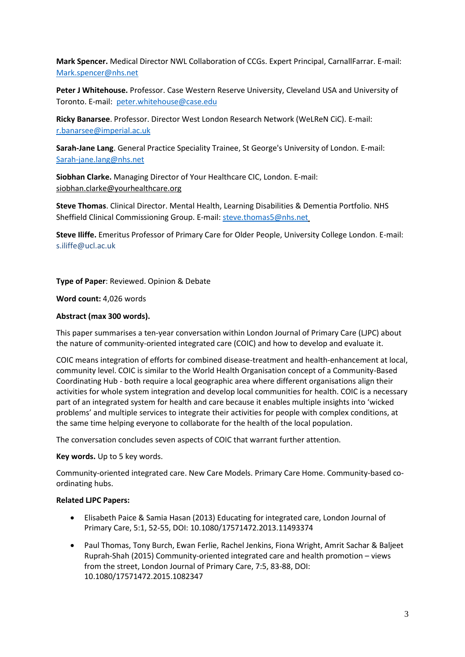**Mark Spencer.** Medical Director NWL Collaboration of CCGs. Expert Principal, CarnallFarrar. E-mail: [Mark.spencer@nhs.net](mailto:Mark.spencer@nhs.net)

**Peter J Whitehouse.** Professor. Case Western Reserve University, Cleveland USA and University of Toronto. E-mail: [peter.whitehouse@case.edu](mailto:peter.whitehouse@case.edu)

**Ricky Banarsee**. Professor. Director West London Research Network (WeLReN CiC). E-mail: [r.banarsee@imperial.ac.uk](mailto:r.banarsee@imperial.ac.uk)

**Sarah-Jane Lang**. General Practice Speciality Trainee, St George's University of London. E-mail: [Sarah-jane.lang@nhs.net](mailto:Sarah-jane.lang@nhs.net)

**Siobhan Clarke.** Managing Director of Your Healthcare CIC, London. E-mail: [siobhan.clarke@yourhealthcare.org](mailto:siobhan.clarke@yourhealthcare.org) 

**Steve Thomas**. Clinical Director. Mental Health, Learning Disabilities & Dementia Portfolio. NHS Sheffield Clinical Commissioning Group. E-mail: [steve.thomas5@nhs.net](mailto:steve.thomas5@nhs.net)

**Steve Iliffe.** Emeritus Professor of Primary Care for Older People, University College London. E-mail: s.iliffe@ucl.ac.uk

**Type of Paper**: Reviewed. Opinion & Debate

**Word count:** 4,026 words

#### **Abstract (max 300 words).**

This paper summarises a ten-year conversation within London Journal of Primary Care (LJPC) about the nature of community-oriented integrated care (COIC) and how to develop and evaluate it.

COIC means integration of efforts for combined disease-treatment and health-enhancement at local, community level. COIC is similar to the World Health Organisation concept of a Community-Based Coordinating Hub - both require a local geographic area where different organisations align their activities for whole system integration and develop local communities for health. COIC is a necessary part of an integrated system for health and care because it enables multiple insights into 'wicked problems' and multiple services to integrate their activities for people with complex conditions, at the same time helping everyone to collaborate for the health of the local population.

The conversation concludes seven aspects of COIC that warrant further attention.

#### **Key words.** Up to 5 key words.

Community-oriented integrated care. New Care Models. Primary Care Home. Community-based coordinating hubs.

#### **Related LJPC Papers:**

- Elisabeth Paice & Samia Hasan (2013) Educating for integrated care, London Journal of Primary Care, 5:1, 52-55, DOI: 10.1080/17571472.2013.11493374
- Paul Thomas, Tony Burch, Ewan Ferlie, Rachel Jenkins, Fiona Wright, Amrit Sachar & Baljeet Ruprah-Shah (2015) Community-oriented integrated care and health promotion – views from the street, London Journal of Primary Care, 7:5, 83-88, DOI: 10.1080/17571472.2015.1082347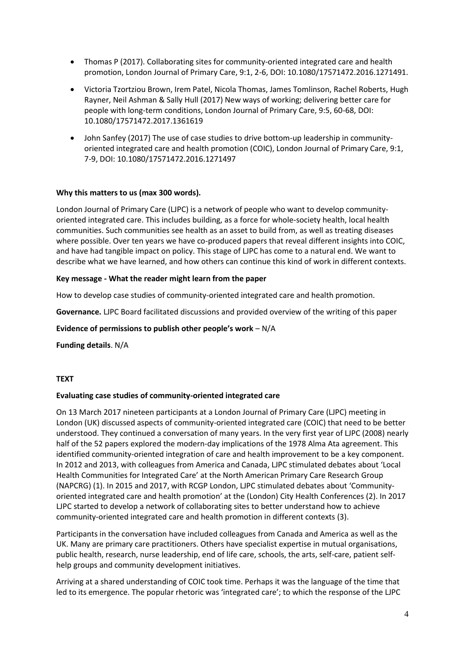- Thomas P (2017). Collaborating sites for community-oriented integrated care and health promotion, London Journal of Primary Care, 9:1, 2-6, DOI: 10.1080/17571472.2016.1271491.
- Victoria Tzortziou Brown, Irem Patel, Nicola Thomas, James Tomlinson, Rachel Roberts, Hugh Rayner, Neil Ashman & Sally Hull (2017) New ways of working; delivering better care for people with long-term conditions, London Journal of Primary Care, 9:5, 60-68, DOI: 10.1080/17571472.2017.1361619
- John Sanfey (2017) The use of case studies to drive bottom-up leadership in communityoriented integrated care and health promotion (COIC), London Journal of Primary Care, 9:1, 7-9, DOI: 10.1080/17571472.2016.1271497

## **Why this matters to us (max 300 words).**

London Journal of Primary Care (LJPC) is a network of people who want to develop communityoriented integrated care. This includes building, as a force for whole-society health, local health communities. Such communities see health as an asset to build from, as well as treating diseases where possible. Over ten years we have co-produced papers that reveal different insights into COIC, and have had tangible impact on policy. This stage of LJPC has come to a natural end. We want to describe what we have learned, and how others can continue this kind of work in different contexts.

## **Key message - What the reader might learn from the paper**

How to develop case studies of community-oriented integrated care and health promotion.

**Governance.** LJPC Board facilitated discussions and provided overview of the writing of this paper

#### **Evidence of permissions to publish other people's work** – N/A

**Funding details**. N/A

#### **TEXT**

#### **Evaluating case studies of community-oriented integrated care**

On 13 March 2017 nineteen participants at a London Journal of Primary Care (LJPC) meeting in London (UK) discussed aspects of community-oriented integrated care (COIC) that need to be better understood. They continued a conversation of many years. In the very first year of LJPC (2008) nearly half of the 52 papers explored the modern-day implications of the 1978 Alma Ata agreement. This identified community-oriented integration of care and health improvement to be a key component. In 2012 and 2013, with colleagues from America and Canada, LJPC stimulated debates about 'Local Health Communities for Integrated Care' at the North American Primary Care Research Group (NAPCRG) (1). In 2015 and 2017, with RCGP London, LJPC stimulated debates about 'Communityoriented integrated care and health promotion' at the (London) City Health Conferences (2). In 2017 LJPC started to develop a network of collaborating sites to better understand how to achieve community-oriented integrated care and health promotion in different contexts (3).

Participants in the conversation have included colleagues from Canada and America as well as the UK. Many are primary care practitioners. Others have specialist expertise in mutual organisations, public health, research, nurse leadership, end of life care, schools, the arts, self-care, patient selfhelp groups and community development initiatives.

Arriving at a shared understanding of COIC took time. Perhaps it was the language of the time that led to its emergence. The popular rhetoric was 'integrated care'; to which the response of the LJPC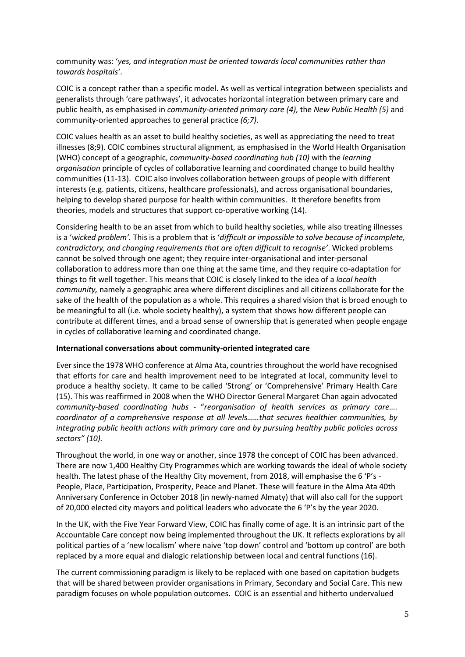community was: '*yes, and integration must be oriented towards local communities rather than towards hospitals'*.

COIC is a concept rather than a specific model. As well as vertical integration between specialists and generalists through 'care pathways', it advocates horizontal integration between primary care and public health, as emphasised in *community-oriented primary care (4),* the *New Public Health (5)* and community-oriented approaches to general practice *(6;7).* 

COIC values health as an asset to build healthy societies, as well as appreciating the need to treat illnesses (8;9). COIC combines structural alignment, as emphasised in the World Health Organisation (WHO) concept of a geographic, *community-based coordinating hub (10)* with the *learning organisation* principle of cycles of collaborative learning and coordinated change to build healthy communities (11-13). COIC also involves collaboration between groups of people with different interests (e.g. patients, citizens, healthcare professionals), and across organisational boundaries, helping to develop shared purpose for health within communities. It therefore benefits from theories, models and structures that support co-operative working (14).

Considering health to be an asset from which to build healthy societies, while also treating illnesses is a '*wicked problem'.* This is a problem that is '*difficult or impossible to solve because of incomplete, contradictory, and changing requirements that are often difficult to recognise'*. Wicked problems cannot be solved through one agent; they require inter-organisational and inter-personal collaboration to address more than one thing at the same time, and they require co-adaptation for things to fit well together. This means that COIC is closely linked to the idea of a *local health community,* namely a geographic area where different disciplines and all citizens collaborate for the sake of the health of the population as a whole. This requires a shared vision that is broad enough to be meaningful to all (i.e. whole society healthy), a system that shows how different people can contribute at different times, and a broad sense of ownership that is generated when people engage in cycles of collaborative learning and coordinated change.

## **International conversations about community-oriented integrated care**

Ever since the 1978 WHO conference at Alma Ata, countries throughout the world have recognised that efforts for care and health improvement need to be integrated at local, community level to produce a healthy society. It came to be called 'Strong' or 'Comprehensive' Primary Health Care (15). This was reaffirmed in 2008 when the WHO Director General Margaret Chan again advocated *community-based coordinating hubs* - "*reorganisation of health services as primary care…. coordinator of a comprehensive response at all levels……that secures healthier communities, by integrating public health actions with primary care and by pursuing healthy public policies across sectors" (10).*

Throughout the world, in one way or another, since 1978 the concept of COIC has been advanced. There are now 1,400 Healthy City Programmes which are working towards the ideal of whole society health. The latest phase of the Healthy City movement, from 2018, will emphasise the 6 'P's - People, Place, Participation, Prosperity, Peace and Planet. These will feature in the Alma Ata 40th Anniversary Conference in October 2018 (in newly-named Almaty) that will also call for the support of 20,000 elected city mayors and political leaders who advocate the 6 'P's by the year 2020.

In the UK, with the Five Year Forward View, COIC has finally come of age. It is an intrinsic part of the Accountable Care concept now being implemented throughout the UK. It reflects explorations by all political parties of a 'new localism' where naive 'top down' control and 'bottom up control' are both replaced by a more equal and dialogic relationship between local and central functions (16).

The current commissioning paradigm is likely to be replaced with one based on capitation budgets that will be shared between provider organisations in Primary, Secondary and Social Care. This new paradigm focuses on whole population outcomes. COIC is an essential and hitherto undervalued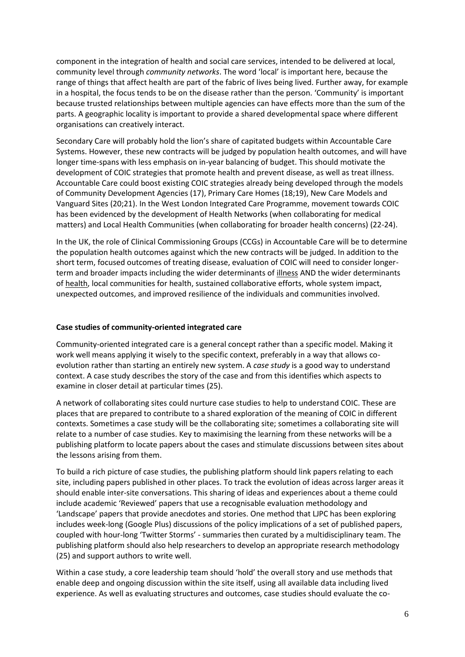component in the integration of health and social care services, intended to be delivered at local, community level through *community networks*. The word 'local' is important here, because the range of things that affect health are part of the fabric of lives being lived. Further away, for example in a hospital, the focus tends to be on the disease rather than the person. 'Community' is important because trusted relationships between multiple agencies can have effects more than the sum of the parts. A geographic locality is important to provide a shared developmental space where different organisations can creatively interact.

Secondary Care will probably hold the lion's share of capitated budgets within Accountable Care Systems. However, these new contracts will be judged by population health outcomes, and will have longer time-spans with less emphasis on in-year balancing of budget. This should motivate the development of COIC strategies that promote health and prevent disease, as well as treat illness. Accountable Care could boost existing COIC strategies already being developed through the models of Community Development Agencies (17), Primary Care Homes (18;19), New Care Models and Vanguard Sites (20;21). In the West London Integrated Care Programme, movement towards COIC has been evidenced by the development of Health Networks (when collaborating for medical matters) and Local Health Communities (when collaborating for broader health concerns) (22-24).

In the UK, the role of Clinical Commissioning Groups (CCGs) in Accountable Care will be to determine the population health outcomes against which the new contracts will be judged. In addition to the short term, focused outcomes of treating disease, evaluation of COIC will need to consider longerterm and broader impacts including the wider determinants of illness AND the wider determinants of health, local communities for health, sustained collaborative efforts, whole system impact, unexpected outcomes, and improved resilience of the individuals and communities involved.

## **Case studies of community-oriented integrated care**

Community-oriented integrated care is a general concept rather than a specific model. Making it work well means applying it wisely to the specific context, preferably in a way that allows coevolution rather than starting an entirely new system. A *case study* is a good way to understand context. A case study describes the story of the case and from this identifies which aspects to examine in closer detail at particular times (25).

A network of collaborating sites could nurture case studies to help to understand COIC. These are places that are prepared to contribute to a shared exploration of the meaning of COIC in different contexts. Sometimes a case study will be the collaborating site; sometimes a collaborating site will relate to a number of case studies. Key to maximising the learning from these networks will be a publishing platform to locate papers about the cases and stimulate discussions between sites about the lessons arising from them.

To build a rich picture of case studies, the publishing platform should link papers relating to each site, including papers published in other places. To track the evolution of ideas across larger areas it should enable inter-site conversations. This sharing of ideas and experiences about a theme could include academic 'Reviewed' papers that use a recognisable evaluation methodology and 'Landscape' papers that provide anecdotes and stories. One method that LJPC has been exploring includes week-long (Google Plus) discussions of the policy implications of a set of published papers, coupled with hour-long 'Twitter Storms' - summaries then curated by a multidisciplinary team. The publishing platform should also help researchers to develop an appropriate research methodology (25) and support authors to write well.

Within a case study, a core leadership team should 'hold' the overall story and use methods that enable deep and ongoing discussion within the site itself, using all available data including lived experience. As well as evaluating structures and outcomes, case studies should evaluate the co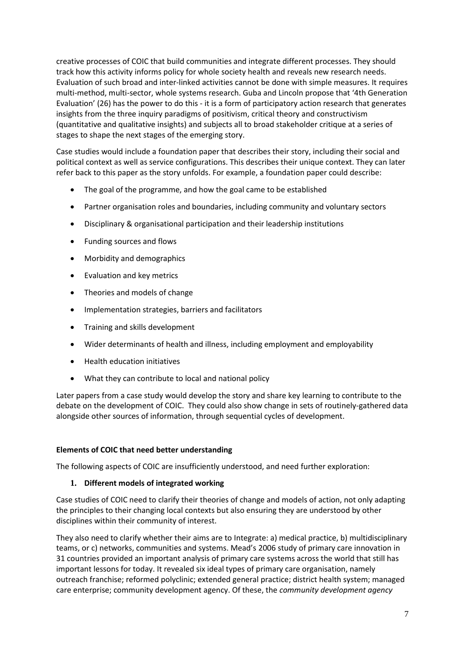creative processes of COIC that build communities and integrate different processes. They should track how this activity informs policy for whole society health and reveals new research needs. Evaluation of such broad and inter-linked activities cannot be done with simple measures. It requires multi-method, multi-sector, whole systems research. Guba and Lincoln propose that '4th Generation Evaluation' (26) has the power to do this - it is a form of participatory action research that generates insights from the three inquiry paradigms of positivism, critical theory and constructivism (quantitative and qualitative insights) and subjects all to broad stakeholder critique at a series of stages to shape the next stages of the emerging story.

Case studies would include a foundation paper that describes their story, including their social and political context as well as service configurations. This describes their unique context. They can later refer back to this paper as the story unfolds. For example, a foundation paper could describe:

- The goal of the programme, and how the goal came to be established
- Partner organisation roles and boundaries, including community and voluntary sectors
- Disciplinary & organisational participation and their leadership institutions
- Funding sources and flows
- Morbidity and demographics
- Evaluation and key metrics
- Theories and models of change
- Implementation strategies, barriers and facilitators
- Training and skills development
- Wider determinants of health and illness, including employment and employability
- Health education initiatives
- What they can contribute to local and national policy

Later papers from a case study would develop the story and share key learning to contribute to the debate on the development of COIC. They could also show change in sets of routinely-gathered data alongside other sources of information, through sequential cycles of development.

# **Elements of COIC that need better understanding**

The following aspects of COIC are insufficiently understood, and need further exploration:

# **1. Different models of integrated working**

Case studies of COIC need to clarify their theories of change and models of action, not only adapting the principles to their changing local contexts but also ensuring they are understood by other disciplines within their community of interest.

They also need to clarify whether their aims are to Integrate: a) medical practice, b) multidisciplinary teams, or c) networks, communities and systems. Mead's 2006 study of primary care innovation in 31 countries provided an important analysis of primary care systems across the world that still has important lessons for today. It revealed six ideal types of primary care organisation, namely outreach franchise; reformed polyclinic; extended general practice; district health system; managed care enterprise; community development agency. Of these, the *community development agency*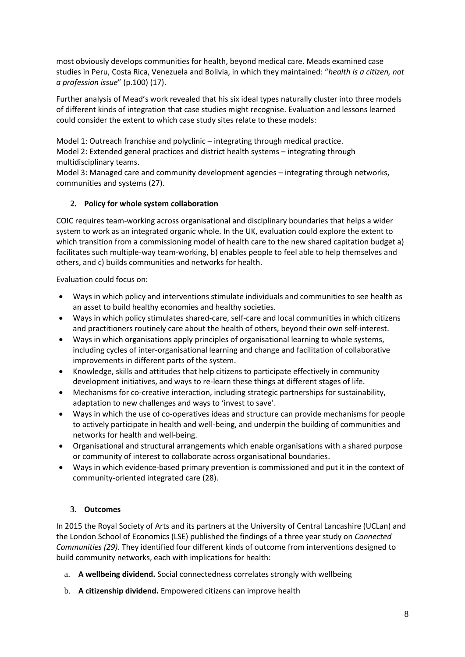most obviously develops communities for health, beyond medical care. Meads examined case studies in Peru, Costa Rica, Venezuela and Bolivia, in which they maintained: "*health is a citizen, not a profession issue*" (p.100) (17).

Further analysis of Mead's work revealed that his six ideal types naturally cluster into three models of different kinds of integration that case studies might recognise. Evaluation and lessons learned could consider the extent to which case study sites relate to these models:

Model 1: Outreach franchise and polyclinic – integrating through medical practice. Model 2: Extended general practices and district health systems – integrating through multidisciplinary teams.

Model 3: Managed care and community development agencies – integrating through networks, communities and systems (27).

# **2. Policy for whole system collaboration**

COIC requires team-working across organisational and disciplinary boundaries that helps a wider system to work as an integrated organic whole. In the UK, evaluation could explore the extent to which transition from a commissioning model of health care to the new shared capitation budget a) facilitates such multiple-way team-working, b) enables people to feel able to help themselves and others, and c) builds communities and networks for health.

Evaluation could focus on:

- Ways in which policy and interventions stimulate individuals and communities to see health as an asset to build healthy economies and healthy societies.
- Ways in which policy stimulates shared-care, self-care and local communities in which citizens and practitioners routinely care about the health of others, beyond their own self-interest.
- Ways in which organisations apply principles of organisational learning to whole systems, including cycles of inter-organisational learning and change and facilitation of collaborative improvements in different parts of the system.
- Knowledge, skills and attitudes that help citizens to participate effectively in community development initiatives, and ways to re-learn these things at different stages of life.
- Mechanisms for co-creative interaction, including strategic partnerships for sustainability, adaptation to new challenges and ways to 'invest to save'.
- Ways in which the use of co-operatives ideas and structure can provide mechanisms for people to actively participate in health and well-being, and underpin the building of communities and networks for health and well-being.
- Organisational and structural arrangements which enable organisations with a shared purpose or community of interest to collaborate across organisational boundaries.
- Ways in which evidence-based primary prevention is commissioned and put it in the context of community-oriented integrated care (28).

# **3. Outcomes**

In 2015 the Royal Society of Arts and its partners at the University of Central Lancashire (UCLan) and the London School of Economics (LSE) published the findings of a three year study on *Connected Communities (29).* They identified four different kinds of outcome from interventions designed to build community networks, each with implications for health:

- a. **A wellbeing dividend.** Social connectedness correlates strongly with wellbeing
- b. **A citizenship dividend.** Empowered citizens can improve health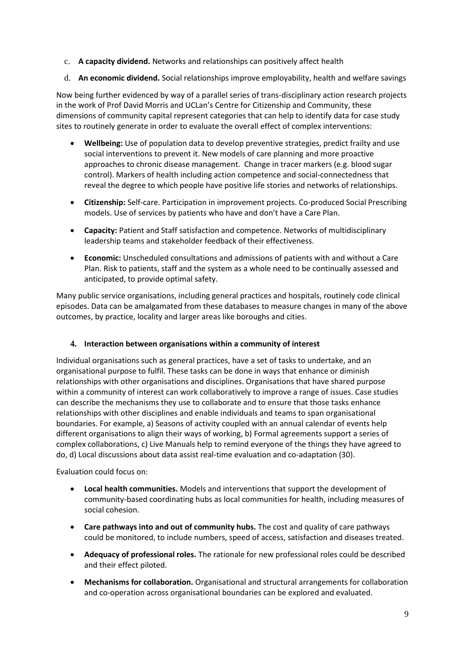- c. **A capacity dividend.** Networks and relationships can positively affect health
- d. **An economic dividend.** Social relationships improve employability, health and welfare savings

Now being further evidenced by way of a parallel series of trans-disciplinary action research projects in the work of Prof David Morris and UCLan's Centre for Citizenship and Community, these dimensions of community capital represent categories that can help to identify data for case study sites to routinely generate in order to evaluate the overall effect of complex interventions:

- **Wellbeing:** Use of population data to develop preventive strategies, predict frailty and use social interventions to prevent it. New models of care planning and more proactive approaches to chronic disease management. Change in tracer markers (e.g. blood sugar control). Markers of health including action competence and social-connectedness that reveal the degree to which people have positive life stories and networks of relationships.
- **Citizenship:** Self-care. Participation in improvement projects. Co-produced Social Prescribing models. Use of services by patients who have and don't have a Care Plan.
- **Capacity:** Patient and Staff satisfaction and competence. Networks of multidisciplinary leadership teams and stakeholder feedback of their effectiveness.
- **Economic:** Unscheduled consultations and admissions of patients with and without a Care Plan. Risk to patients, staff and the system as a whole need to be continually assessed and anticipated, to provide optimal safety.

Many public service organisations, including general practices and hospitals, routinely code clinical episodes. Data can be amalgamated from these databases to measure changes in many of the above outcomes, by practice, locality and larger areas like boroughs and cities.

# **4. Interaction between organisations within a community of interest**

Individual organisations such as general practices, have a set of tasks to undertake, and an organisational purpose to fulfil. These tasks can be done in ways that enhance or diminish relationships with other organisations and disciplines. Organisations that have shared purpose within a community of interest can work collaboratively to improve a range of issues. Case studies can describe the mechanisms they use to collaborate and to ensure that those tasks enhance relationships with other disciplines and enable individuals and teams to span organisational boundaries. For example, a) Seasons of activity coupled with an annual calendar of events help different organisations to align their ways of working, b) Formal agreements support a series of complex collaborations, c) Live Manuals help to remind everyone of the things they have agreed to do, d) Local discussions about data assist real-time evaluation and co-adaptation (30).

Evaluation could focus on:

- **Local health communities.** Models and interventions that support the development of community-based coordinating hubs as local communities for health, including measures of social cohesion.
- **Care pathways into and out of community hubs.** The cost and quality of care pathways could be monitored, to include numbers, speed of access, satisfaction and diseases treated.
- **Adequacy of professional roles.** The rationale for new professional roles could be described and their effect piloted.
- **Mechanisms for collaboration.** Organisational and structural arrangements for collaboration and co-operation across organisational boundaries can be explored and evaluated.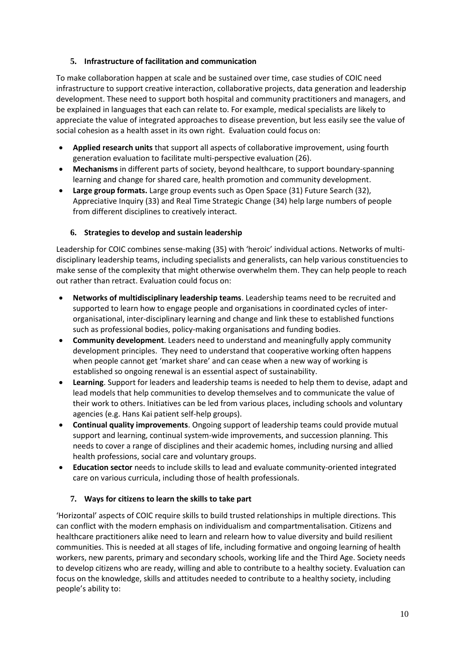# **5. Infrastructure of facilitation and communication**

To make collaboration happen at scale and be sustained over time, case studies of COIC need infrastructure to support creative interaction, collaborative projects, data generation and leadership development. These need to support both hospital and community practitioners and managers, and be explained in languages that each can relate to. For example, medical specialists are likely to appreciate the value of integrated approaches to disease prevention, but less easily see the value of social cohesion as a health asset in its own right. Evaluation could focus on:

- **Applied research units** that support all aspects of collaborative improvement, using fourth generation evaluation to facilitate multi-perspective evaluation (26).
- **Mechanisms** in different parts of society, beyond healthcare, to support boundary-spanning learning and change for shared care, health promotion and community development.
- **Large group formats.** Large group events such as Open Space (31) Future Search (32), Appreciative Inquiry (33) and Real Time Strategic Change (34) help large numbers of people from different disciplines to creatively interact.

# **6. Strategies to develop and sustain leadership**

Leadership for COIC combines sense-making (35) with 'heroic' individual actions. Networks of multidisciplinary leadership teams, including specialists and generalists, can help various constituencies to make sense of the complexity that might otherwise overwhelm them. They can help people to reach out rather than retract. Evaluation could focus on:

- **Networks of multidisciplinary leadership teams**. Leadership teams need to be recruited and supported to learn how to engage people and organisations in coordinated cycles of interorganisational, inter-disciplinary learning and change and link these to established functions such as professional bodies, policy-making organisations and funding bodies.
- **Community development**. Leaders need to understand and meaningfully apply community development principles. They need to understand that cooperative working often happens when people cannot get 'market share' and can cease when a new way of working is established so ongoing renewal is an essential aspect of sustainability.
- **Learning**. Support for leaders and leadership teams is needed to help them to devise, adapt and lead models that help communities to develop themselves and to communicate the value of their work to others. Initiatives can be led from various places, including schools and voluntary agencies (e.g. Hans Kai patient self-help groups).
- **Continual quality improvements**. Ongoing support of leadership teams could provide mutual support and learning, continual system-wide improvements, and succession planning. This needs to cover a range of disciplines and their academic homes, including nursing and allied health professions, social care and voluntary groups.
- **Education sector** needs to include skills to lead and evaluate community-oriented integrated care on various curricula, including those of health professionals.

# **7. Ways for citizens to learn the skills to take part**

'Horizontal' aspects of COIC require skills to build trusted relationships in multiple directions. This can conflict with the modern emphasis on individualism and compartmentalisation. Citizens and healthcare practitioners alike need to learn and relearn how to value diversity and build resilient communities. This is needed at all stages of life, including formative and ongoing learning of health workers, new parents, primary and secondary schools, working life and the Third Age. Society needs to develop citizens who are ready, willing and able to contribute to a healthy society. Evaluation can focus on the knowledge, skills and attitudes needed to contribute to a healthy society, including people's ability to: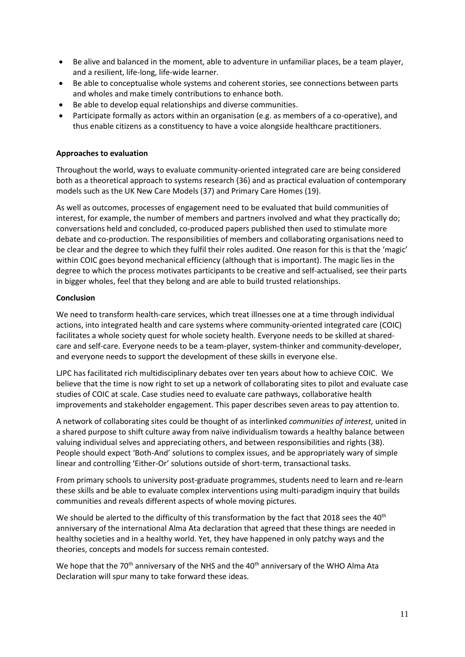- Be alive and balanced in the moment, able to adventure in unfamiliar places, be a team player, and a resilient, life-long, life-wide learner.
- Be able to conceptualise whole systems and coherent stories, see connections between parts and wholes and make timely contributions to enhance both.
- Be able to develop equal relationships and diverse communities.
- Participate formally as actors within an organisation (e.g. as members of a co-operative), and thus enable citizens as a constituency to have a voice alongside healthcare practitioners.

## **Approaches to evaluation**

Throughout the world, ways to evaluate community-oriented integrated care are being considered both as a theoretical approach to systems research (36) and as practical evaluation of contemporary models such as the UK New Care Models (37) and Primary Care Homes (19).

As well as outcomes, processes of engagement need to be evaluated that build communities of interest, for example, the number of members and partners involved and what they practically do; conversations held and concluded, co-produced papers published then used to stimulate more debate and co-production. The responsibilities of members and collaborating organisations need to be clear and the degree to which they fulfil their roles audited. One reason for this is that the 'magic' within COIC goes beyond mechanical efficiency (although that is important). The magic lies in the degree to which the process motivates participants to be creative and self-actualised, see their parts in bigger wholes, feel that they belong and are able to build trusted relationships.

## **Conclusion**

We need to transform health-care services, which treat illnesses one at a time through individual actions, into integrated health and care systems where community-oriented integrated care (COIC) facilitates a whole society quest for whole society health. Everyone needs to be skilled at sharedcare and self-care. Everyone needs to be a team-player, system-thinker and community-developer, and everyone needs to support the development of these skills in everyone else.

LJPC has facilitated rich multidisciplinary debates over ten years about how to achieve COIC. We believe that the time is now right to set up a network of collaborating sites to pilot and evaluate case studies of COIC at scale. Case studies need to evaluate care pathways, collaborative health improvements and stakeholder engagement. This paper describes seven areas to pay attention to.

A network of collaborating sites could be thought of as interlinked *communities of interest,* united in a shared purpose to shift culture away from naïve individualism towards a healthy balance between valuing individual selves and appreciating others, and between responsibilities and rights (38). People should expect 'Both-And' solutions to complex issues, and be appropriately wary of simple linear and controlling 'Either-Or' solutions outside of short-term, transactional tasks.

From primary schools to university post-graduate programmes, students need to learn and re-learn these skills and be able to evaluate complex interventions using multi-paradigm inquiry that builds communities and reveals different aspects of whole moving pictures.

We should be alerted to the difficulty of this transformation by the fact that 2018 sees the 40<sup>th</sup> anniversary of the international Alma Ata declaration that agreed that these things are needed in healthy societies and in a healthy world. Yet, they have happened in only patchy ways and the theories, concepts and models for success remain contested.

We hope that the 70<sup>th</sup> anniversary of the NHS and the 40<sup>th</sup> anniversary of the WHO Alma Ata Declaration will spur many to take forward these ideas.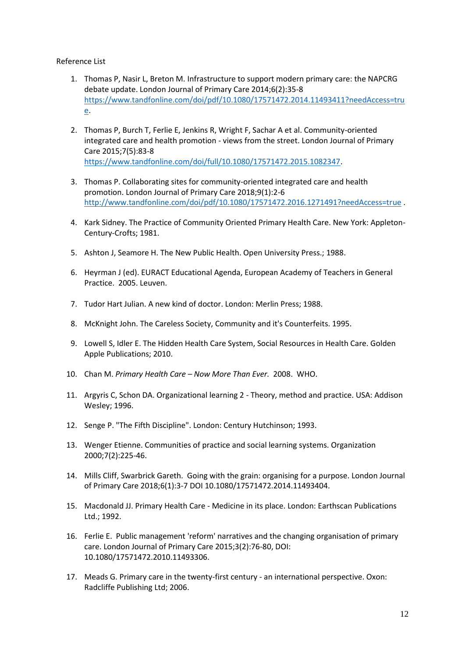Reference List

- 1. Thomas P, Nasir L, Breton M. Infrastructure to support modern primary care: the NAPCRG debate update. London Journal of Primary Care 2014;6(2):35-8 [https://www.tandfonline.com/doi/pdf/10.1080/17571472.2014.11493411?needAccess=tru](https://www.tandfonline.com/doi/pdf/10.1080/17571472.2014.11493411?needAccess=true) [e.](https://www.tandfonline.com/doi/pdf/10.1080/17571472.2014.11493411?needAccess=true)
- 2. Thomas P, Burch T, Ferlie E, Jenkins R, Wright F, Sachar A et al. Community-oriented integrated care and health promotion - views from the street. London Journal of Primary Care 2015;7(5):83-8 [https://www.tandfonline.com/doi/full/10.1080/17571472.2015.1082347.](https://www.tandfonline.com/doi/full/10.1080/17571472.2015.1082347)
- 3. Thomas P. Collaborating sites for community-oriented integrated care and health promotion. London Journal of Primary Care 2018;9(1):2-6 <http://www.tandfonline.com/doi/pdf/10.1080/17571472.2016.1271491?needAccess=true> .
- 4. Kark Sidney. The Practice of Community Oriented Primary Health Care. New York: Appleton-Century-Crofts; 1981.
- 5. Ashton J, Seamore H. The New Public Health. Open University Press.; 1988.
- 6. Heyrman J (ed). EURACT Educational Agenda, European Academy of Teachers in General Practice. 2005. Leuven.
- 7. Tudor Hart Julian. A new kind of doctor. London: Merlin Press; 1988.
- 8. McKnight John. The Careless Society, Community and it's Counterfeits. 1995.
- 9. Lowell S, Idler E. The Hidden Health Care System, Social Resources in Health Care. Golden Apple Publications; 2010.
- 10. Chan M. *Primary Health Care – Now More Than Ever.* 2008. WHO.
- 11. Argyris C, Schon DA. Organizational learning 2 Theory, method and practice. USA: Addison Wesley; 1996.
- 12. Senge P. "The Fifth Discipline". London: Century Hutchinson; 1993.
- 13. Wenger Etienne. Communities of practice and social learning systems. Organization 2000;7(2):225-46.
- 14. Mills Cliff, Swarbrick Gareth. Going with the grain: organising for a purpose. London Journal of Primary Care 2018;6(1):3-7 DOI 10.1080/17571472.2014.11493404.
- 15. Macdonald JJ. Primary Health Care Medicine in its place. London: Earthscan Publications Ltd.; 1992.
- 16. Ferlie E. Public management 'reform' narratives and the changing organisation of primary care. London Journal of Primary Care 2015;3(2):76-80, DOI: 10.1080/17571472.2010.11493306.
- 17. Meads G. Primary care in the twenty-first century an international perspective. Oxon: Radcliffe Publishing Ltd; 2006.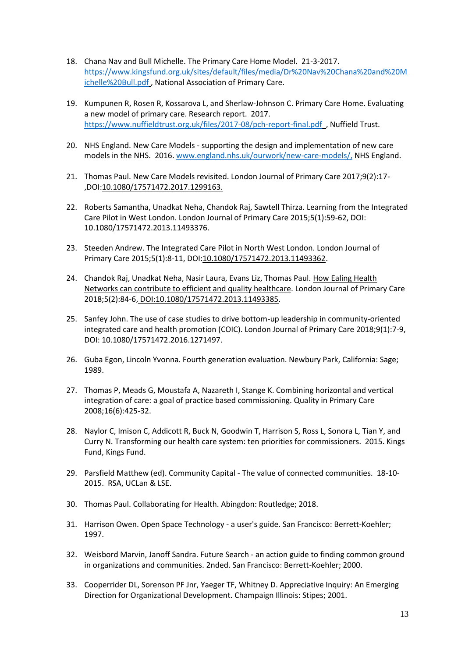- 18. Chana Nav and Bull Michelle. The Primary Care Home Model. 21-3-2017. [https://www.kingsfund.org.uk/sites/default/files/media/Dr%20Nav%20Chana%20and%20M](https://www.kingsfund.org.uk/sites/default/files/media/Dr%20Nav%20Chana%20and%20Michelle%20Bull.pdf) [ichelle%20Bull.pdf](https://www.kingsfund.org.uk/sites/default/files/media/Dr%20Nav%20Chana%20and%20Michelle%20Bull.pdf) , National Association of Primary Care.
- 19. Kumpunen R, Rosen R, Kossarova L, and Sherlaw-Johnson C. Primary Care Home. Evaluating a new model of primary care. Research report. 2017. <https://www.nuffieldtrust.org.uk/files/2017-08/pch-report-final.pdf>, Nuffield Trust.
- 20. NHS England. New Care Models supporting the design and implementation of new care models in the NHS. 2016[. www.england.nhs.uk/ourwork/new-care-models/,](http://www.england.nhs.uk/ourwork/new-care-models/,) NHS England.
- 21. Thomas Paul. New Care Models revisited. London Journal of Primary Care 2017;9(2):17- ,DOI:10.1080/17571472.2017.1299163.
- 22. Roberts Samantha, Unadkat Neha, Chandok Raj, Sawtell Thirza. Learning from the Integrated Care Pilot in West London. London Journal of Primary Care 2015;5(1):59-62, DOI: 10.1080/17571472.2013.11493376.
- 23. Steeden Andrew. The Integrated Care Pilot in North West London. London Journal of Primary Care 2015;5(1):8-11, DOI:10.1080/17571472.2013.11493362.
- 24. Chandok Raj, Unadkat Neha, Nasir Laura, Evans Liz, Thomas Paul. How Ealing Health Networks can contribute to efficient and quality healthcare. London Journal of Primary Care 2018;5(2):84-6, DOI:10.1080/17571472.2013.11493385.
- 25. Sanfey John. The use of case studies to drive bottom-up leadership in community-oriented integrated care and health promotion (COIC). London Journal of Primary Care 2018;9(1):7-9, DOI: 10.1080/17571472.2016.1271497.
- 26. Guba Egon, Lincoln Yvonna. Fourth generation evaluation. Newbury Park, California: Sage; 1989.
- 27. Thomas P, Meads G, Moustafa A, Nazareth I, Stange K. Combining horizontal and vertical integration of care: a goal of practice based commissioning. Quality in Primary Care 2008;16(6):425-32.
- 28. Naylor C, Imison C, Addicott R, Buck N, Goodwin T, Harrison S, Ross L, Sonora L, Tian Y, and Curry N. Transforming our health care system: ten priorities for commissioners. 2015. Kings Fund, Kings Fund.
- 29. Parsfield Matthew (ed). Community Capital The value of connected communities. 18-10- 2015. RSA, UCLan & LSE.
- 30. Thomas Paul. Collaborating for Health. Abingdon: Routledge; 2018.
- 31. Harrison Owen. Open Space Technology a user's guide. San Francisco: Berrett-Koehler; 1997.
- 32. Weisbord Marvin, Janoff Sandra. Future Search an action guide to finding common ground in organizations and communities. 2nded. San Francisco: Berrett-Koehler; 2000.
- 33. Cooperrider DL, Sorenson PF Jnr, Yaeger TF, Whitney D. Appreciative Inquiry: An Emerging Direction for Organizational Development. Champaign Illinois: Stipes; 2001.